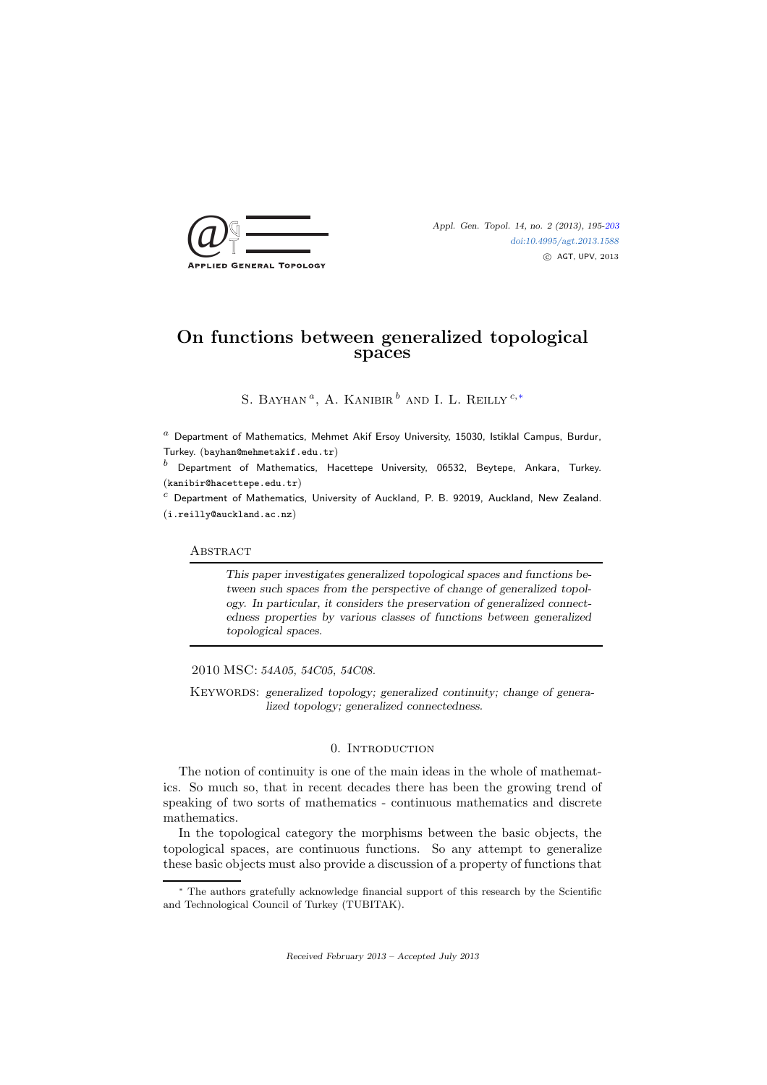

Appl. Gen. Topol. 14, no. 2 (2013), 195[-203](#page-8-0) [doi:10.4995/agt.2013.1588](http://dx.doi.org/10.4995/agt.2013.1575) c AGT, UPV, 2013

# On functions between generalized topological spaces

S. BAYHAN<sup> $a$ </sup>, A. KANIBIR<sup> $b$ </sup> AND I. L. REILLY<sup>c,\*</sup>

 $^a$  Department of Mathematics, Mehmet Akif Ersoy University, 15030, Istiklal Campus, Burdur, Turkey. (bayhan@mehmetakif.edu.tr)

 $<sup>b</sup>$  Department of Mathematics, Hacettepe University, 06532, Beytepe, Ankara, Turkey.</sup> (kanibir@hacettepe.edu.tr)

 $c$  Department of Mathematics, University of Auckland, P. B. 92019, Auckland, New Zealand. (i.reilly@auckland.ac.nz)

**ABSTRACT** 

This paper investigates generalized topological spaces and functions between such spaces from the perspective of change of generalized topology. In particular, it considers the preservation of generalized connectedness properties by various classes of functions between generalized topological spaces.

## 2010 MSC: 54A05, 54C05, 54C08.

KEYWORDS: generalized topology; generalized continuity; change of generalized topology; generalized connectedness.

#### 0. INTRODUCTION

The notion of continuity is one of the main ideas in the whole of mathematics. So much so, that in recent decades there has been the growing trend of speaking of two sorts of mathematics - continuous mathematics and discrete mathematics.

In the topological category the morphisms between the basic objects, the topological spaces, are continuous functions. So any attempt to generalize these basic objects must also provide a discussion of a property of functions that

<span id="page-0-0"></span><sup>∗</sup> The authors gratefully acknowledge financial support of this research by the Scientific and Technological Council of Turkey (TUBITAK).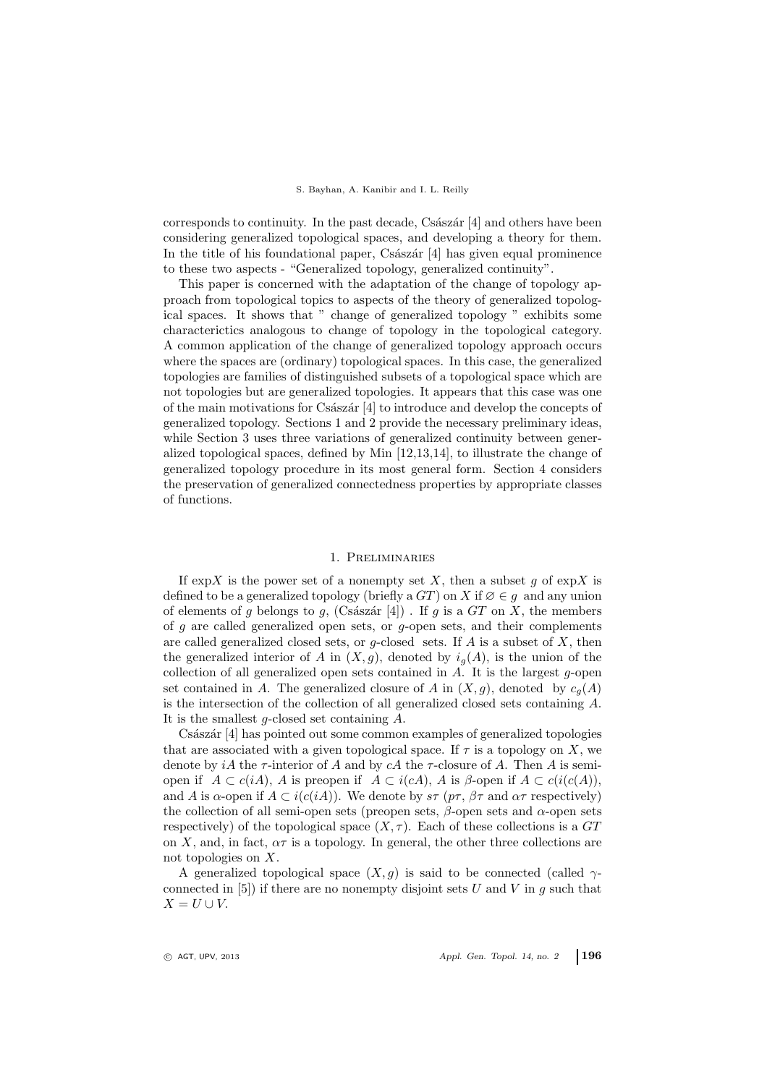#### S. Bayhan, A. Kanibir and I. L. Reilly

corresponds to continuity. In the past decade, Császár  $[4]$  and others have been considering generalized topological spaces, and developing a theory for them. In the title of his foundational paper,  $Cs$ ászár [4] has given equal prominence to these two aspects - "Generalized topology, generalized continuity".

This paper is concerned with the adaptation of the change of topology approach from topological topics to aspects of the theory of generalized topological spaces. It shows that " change of generalized topology " exhibits some characterictics analogous to change of topology in the topological category. A common application of the change of generalized topology approach occurs where the spaces are (ordinary) topological spaces. In this case, the generalized topologies are families of distinguished subsets of a topological space which are not topologies but are generalized topologies. It appears that this case was one of the main motivations for Császár  $[4]$  to introduce and develop the concepts of generalized topology. Sections 1 and 2 provide the necessary preliminary ideas, while Section 3 uses three variations of generalized continuity between generalized topological spaces, defined by Min [12,13,14], to illustrate the change of generalized topology procedure in its most general form. Section 4 considers the preservation of generalized connectedness properties by appropriate classes of functions.

#### 1. Preliminaries

If  $\exp X$  is the power set of a nonempty set X, then a subset g of  $\exp X$  is defined to be a generalized topology (briefly a  $GT$ ) on X if  $\emptyset \in g$  and any union of elements of g belongs to g, (Császár [4]). If g is a GT on X, the members of  $g$  are called generalized open sets, or  $g$ -open sets, and their complements are called generalized closed sets, or  $g$ -closed sets. If A is a subset of X, then the generalized interior of A in  $(X, g)$ , denoted by  $i_q(A)$ , is the union of the collection of all generalized open sets contained in  $A$ . It is the largest g-open set contained in A. The generalized closure of A in  $(X, g)$ , denoted by  $c_q(A)$ is the intersection of the collection of all generalized closed sets containing A. It is the smallest  $q$ -closed set containing  $A$ .

Császár [4] has pointed out some common examples of generalized topologies that are associated with a given topological space. If  $\tau$  is a topology on X, we denote by iA the  $\tau$ -interior of A and by cA the  $\tau$ -closure of A. Then A is semiopen if  $A \subset c(iA)$ , A is preopen if  $A \subset i(cA)$ , A is β-open if  $A \subset c(i(c(A))$ , and A is  $\alpha$ -open if  $A \subset i(c(iA))$ . We denote by  $s\tau$  ( $p\tau$ ,  $\beta\tau$  and  $\alpha\tau$  respectively) the collection of all semi-open sets (preopen sets,  $\beta$ -open sets and  $\alpha$ -open sets respectively) of the topological space  $(X, \tau)$ . Each of these collections is a GT on X, and, in fact,  $\alpha\tau$  is a topology. In general, the other three collections are not topologies on X.

A generalized topological space  $(X, g)$  is said to be connected (called  $\gamma$ connected in  $[5]$  if there are no nonempty disjoint sets U and V in g such that  $X = U \cup V$ .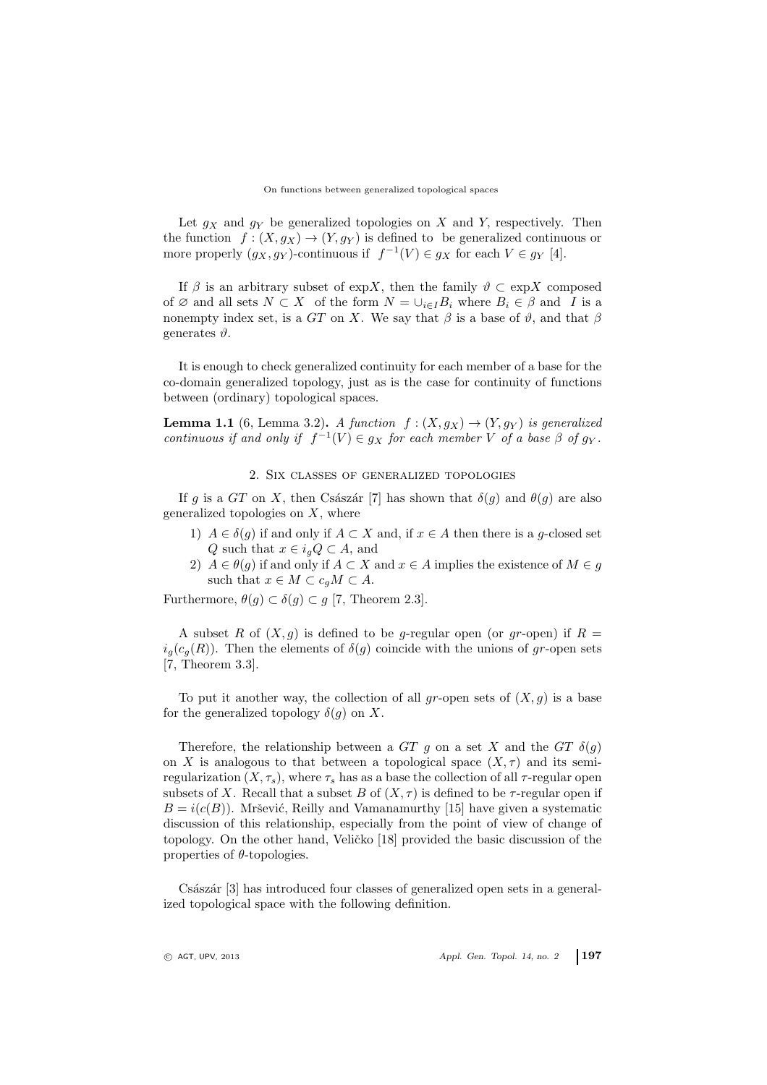#### On functions between generalized topological spaces

Let  $g_X$  and  $g_Y$  be generalized topologies on X and Y, respectively. Then the function  $f : (X, g_X) \to (Y, g_Y)$  is defined to be generalized continuous or more properly  $(g_X, g_Y)$ -continuous if  $f^{-1}(V) \in g_X$  for each  $V \in g_Y$  [4].

If  $\beta$  is an arbitrary subset of expX, then the family  $\vartheta \subset \exp X$  composed of ∅ and all sets  $N \subset X$  of the form  $N = \bigcup_{i \in I} B_i$  where  $B_i \in \beta$  and I is a nonempty index set, is a GT on X. We say that  $\beta$  is a base of  $\vartheta$ , and that  $\beta$ generates  $\vartheta$ .

It is enough to check generalized continuity for each member of a base for the co-domain generalized topology, just as is the case for continuity of functions between (ordinary) topological spaces.

<span id="page-2-0"></span>**Lemma 1.1** (6, Lemma 3.2). A function  $f:(X, g_X) \to (Y, g_Y)$  is generalized continuous if and only if  $f^{-1}(V) \in g_X$  for each member V of a base  $\beta$  of  $g_Y$ .

## 2. Six classes of generalized topologies

If g is a GT on X, then Császár [7] has shown that  $\delta(g)$  and  $\theta(g)$  are also generalized topologies on  $X$ , where

- 1)  $A \in \delta(g)$  if and only if  $A \subset X$  and, if  $x \in A$  then there is a g-closed set Q such that  $x \in i_g Q \subset A$ , and
- 2)  $A \in \theta(g)$  if and only if  $A \subset X$  and  $x \in A$  implies the existence of  $M \in g$ such that  $x \in M \subset c_{q}M \subset A$ .

Furthermore,  $\theta(g) \subset \delta(g) \subset g$  [7, Theorem 2.3].

A subset R of  $(X, g)$  is defined to be g-regular open (or gr-open) if  $R =$  $i_q(c_q(R))$ . Then the elements of  $\delta(g)$  coincide with the unions of gr-open sets [7, Theorem 3.3].

To put it another way, the collection of all gr-open sets of  $(X, g)$  is a base for the generalized topology  $\delta(g)$  on X.

Therefore, the relationship between a GT g on a set X and the GT  $\delta(g)$ on X is analogous to that between a topological space  $(X, \tau)$  and its semiregularization  $(X, \tau_s)$ , where  $\tau_s$  has as a base the collection of all  $\tau$ -regular open subsets of X. Recall that a subset B of  $(X, \tau)$  is defined to be  $\tau$ -regular open if  $B = i(c(B))$ . Mršević, Reilly and Vamanamurthy [15] have given a systematic discussion of this relationship, especially from the point of view of change of topology. On the other hand, Veličko [18] provided the basic discussion of the properties of  $\theta$ -topologies.

Császár [3] has introduced four classes of generalized open sets in a generalized topological space with the following definition.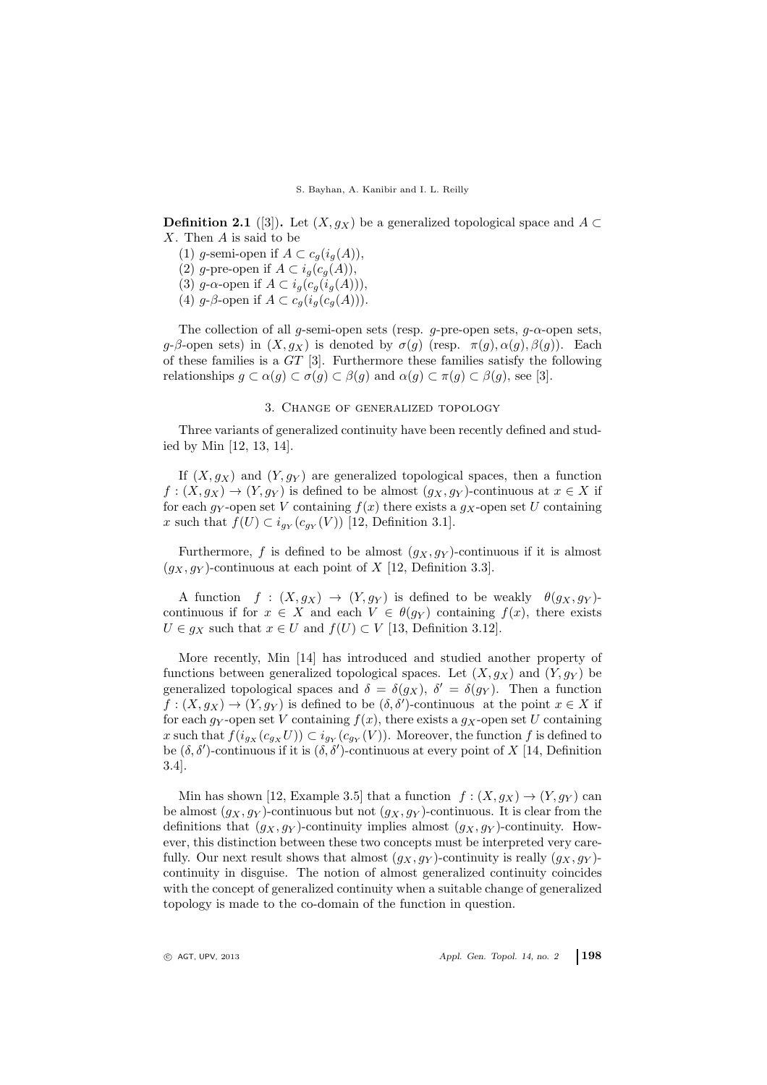**Definition 2.1** ([3]). Let  $(X, g_X)$  be a generalized topological space and A ⊂ X. Then A is said to be

(1) g-semi-open if  $A \subset c_g(i_g(A)),$ 

(2) g-pre-open if  $A \subset i_g(c_g(A)),$ 

(3) g- $\alpha$ -open if  $A \subset i_g(c_g(i_g(A))),$ 

(4) g- $\beta$ -open if  $A \subset c_q(i_q(c_q(A)))$ .

The collection of all g-semi-open sets (resp. g-pre-open sets,  $g$ - $\alpha$ -open sets, g-β-open sets) in  $(X, g_X)$  is denoted by  $\sigma(g)$  (resp.  $\pi(g)$ ,  $\alpha(g)$ ,  $\beta(g)$ ). Each of these families is a GT [3]. Furthermore these families satisfy the following relationships  $q \subset \alpha(q) \subset \sigma(q) \subset \beta(q)$  and  $\alpha(q) \subset \pi(q) \subset \beta(q)$ , see [3].

#### 3. Change of generalized topology

Three variants of generalized continuity have been recently defined and studied by Min [12, 13, 14].

If  $(X, g_X)$  and  $(Y, g_Y)$  are generalized topological spaces, then a function  $f: (X, g_X) \to (Y, g_Y)$  is defined to be almost  $(g_X, g_Y)$ -continuous at  $x \in X$  if for each  $g_Y$ -open set V containing  $f(x)$  there exists a  $g_X$ -open set U containing x such that  $f(U) \subset i_{g_Y}(c_{g_Y}(V))$  [12, Definition 3.1].

Furthermore, f is defined to be almost  $(g_X, g_Y)$ -continuous if it is almost  $(g_X, g_Y)$ -continuous at each point of X [12, Definition 3.3].

A function  $f : (X, g_X) \to (Y, g_Y)$  is defined to be weakly  $\theta(g_X, g_Y)$ continuous if for  $x \in X$  and each  $V \in \theta(g_Y)$  containing  $f(x)$ , there exists  $U \in g_X$  such that  $x \in U$  and  $f(U) \subset V$  [13, Definition 3.12].

More recently, Min [14] has introduced and studied another property of functions between generalized topological spaces. Let  $(X, g_X)$  and  $(Y, g_Y)$  be generalized topological spaces and  $\delta = \delta(g_X)$ ,  $\delta' = \delta(g_Y)$ . Then a function  $f:(X,g_X)\to (Y,g_Y)$  is defined to be  $(\delta,\delta')$ -continuous at the point  $x\in X$  if for each gy-open set V containing  $f(x)$ , there exists a g<sub>X</sub>-open set U containing x such that  $f(i_{g_X}(c_{g_X}U)) \subset i_{g_Y}(c_{g_Y}(V))$ . Moreover, the function f is defined to be  $(\delta, \delta')$ -continuous if it is  $(\delta, \delta')$ -continuous at every point of X [14, Definition 3.4].

Min has shown [12, Example 3.5] that a function  $f : (X, g_X) \to (Y, g_Y)$  can be almost  $(g_X, g_Y)$ -continuous but not  $(g_X, g_Y)$ -continuous. It is clear from the definitions that  $(g_X, g_Y)$ -continuity implies almost  $(g_X, g_Y)$ -continuity. However, this distinction between these two concepts must be interpreted very carefully. Our next result shows that almost  $(g_X, g_Y)$ -continuity is really  $(g_X, g_Y)$ continuity in disguise. The notion of almost generalized continuity coincides with the concept of generalized continuity when a suitable change of generalized topology is made to the co-domain of the function in question.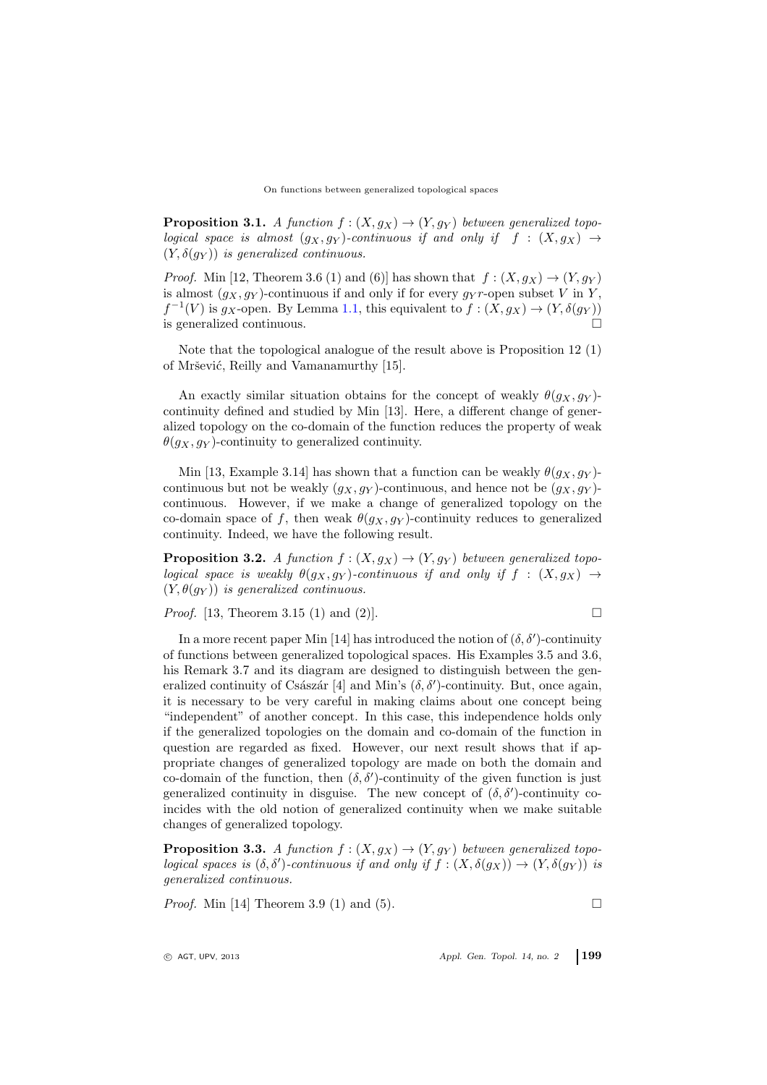**Proposition 3.1.** A function  $f : (X, g_X) \to (Y, g_Y)$  between generalized topological space is almost  $(g_X, g_Y)$ -continuous if and only if f :  $(X, g_X) \rightarrow$  $(Y, \delta(g_Y))$  is generalized continuous.

*Proof.* Min [12, Theorem 3.6 (1) and (6)] has shown that  $f:(X, g_X) \to (Y, g_Y)$ is almost  $(g_X, g_Y)$ -continuous if and only if for every  $g_Y r$ -open subset V in Y,  $f^{-1}(V)$  is  $g_X$ -open. By Lemma [1.1,](#page-2-0) this equivalent to  $f:(X, g_X) \to (Y, \delta(g_Y))$ is generalized continuous.

Note that the topological analogue of the result above is Proposition 12 (1) of Mršević, Reilly and Vamanamurthy [15].

An exactly similar situation obtains for the concept of weakly  $\theta(g_X, g_Y)$ continuity defined and studied by Min [13]. Here, a different change of generalized topology on the co-domain of the function reduces the property of weak  $\theta(g_X, g_Y)$ -continuity to generalized continuity.

Min [13, Example 3.14] has shown that a function can be weakly  $\theta(g_X, g_Y)$ continuous but not be weakly  $(g_X, g_Y)$ -continuous, and hence not be  $(g_X, g_Y)$ continuous. However, if we make a change of generalized topology on the co-domain space of f, then weak  $\theta(g_X, g_Y)$ -continuity reduces to generalized continuity. Indeed, we have the following result.

**Proposition 3.2.** A function  $f : (X, g_X) \to (Y, g_Y)$  between generalized topological space is weakly  $\theta(g_X, g_Y)$ -continuous if and only if  $f : (X, g_X) \rightarrow$  $(Y, \theta(q_Y))$  is generalized continuous.

*Proof.* [13, Theorem 3.15 (1) and (2)].

$$
\qquad \qquad \Box
$$

In a more recent paper Min [14] has introduced the notion of  $(\delta, \delta')$ -continuity of functions between generalized topological spaces. His Examples 3.5 and 3.6, his Remark 3.7 and its diagram are designed to distinguish between the generalized continuity of Császár [4] and Min's  $(\delta, \delta')$ -continuity. But, once again, it is necessary to be very careful in making claims about one concept being "independent" of another concept. In this case, this independence holds only if the generalized topologies on the domain and co-domain of the function in question are regarded as fixed. However, our next result shows that if appropriate changes of generalized topology are made on both the domain and co-domain of the function, then  $(\delta, \delta')$ -continuity of the given function is just generalized continuity in disguise. The new concept of  $(\delta, \delta')$ -continuity coincides with the old notion of generalized continuity when we make suitable changes of generalized topology.

**Proposition 3.3.** A function  $f : (X, g_X) \to (Y, g_Y)$  between generalized topological spaces is  $(\delta, \delta')$ -continuous if and only if  $f : (X, \delta(g_X)) \to (Y, \delta(g_Y))$  is generalized continuous.

*Proof.* Min [14] Theorem 3.9 (1) and (5).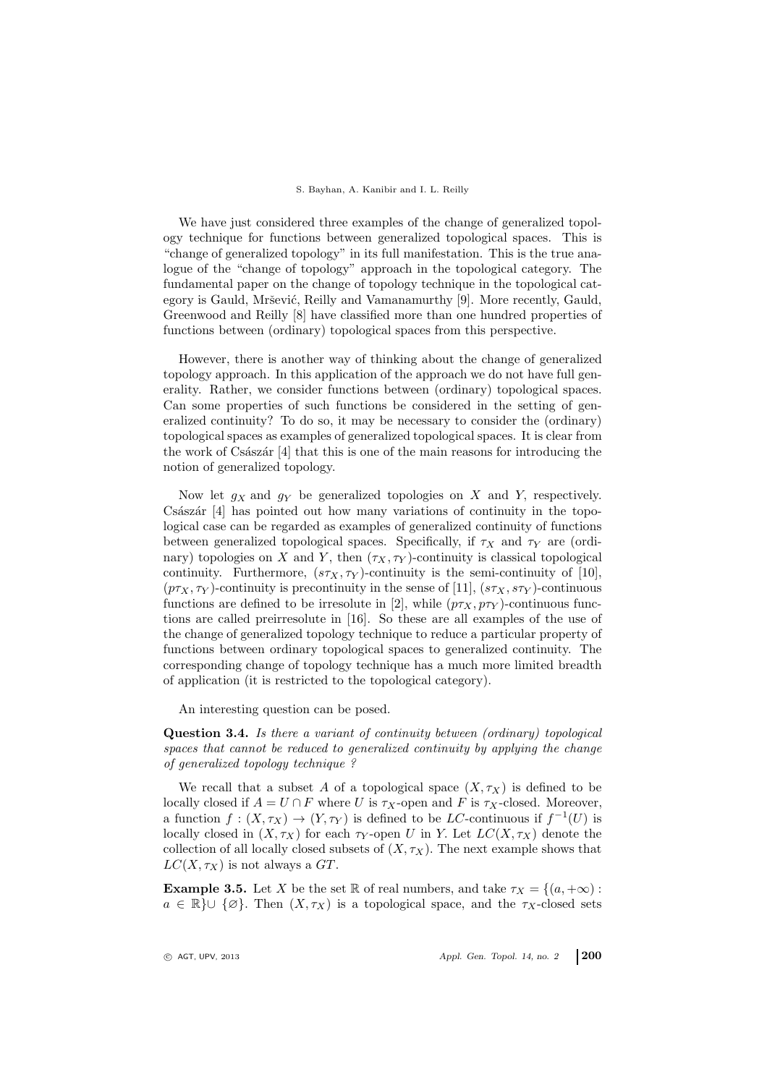#### S. Bayhan, A. Kanibir and I. L. Reilly

We have just considered three examples of the change of generalized topology technique for functions between generalized topological spaces. This is "change of generalized topology" in its full manifestation. This is the true analogue of the "change of topology" approach in the topological category. The fundamental paper on the change of topology technique in the topological category is Gauld, Mršević, Reilly and Vamanamurthy [9]. More recently, Gauld, Greenwood and Reilly [8] have classified more than one hundred properties of functions between (ordinary) topological spaces from this perspective.

However, there is another way of thinking about the change of generalized topology approach. In this application of the approach we do not have full generality. Rather, we consider functions between (ordinary) topological spaces. Can some properties of such functions be considered in the setting of generalized continuity? To do so, it may be necessary to consider the (ordinary) topological spaces as examples of generalized topological spaces. It is clear from the work of Császár  $[4]$  that this is one of the main reasons for introducing the notion of generalized topology.

Now let  $g_X$  and  $g_Y$  be generalized topologies on X and Y, respectively. Császár  $[4]$  has pointed out how many variations of continuity in the topological case can be regarded as examples of generalized continuity of functions between generalized topological spaces. Specifically, if  $\tau_X$  and  $\tau_Y$  are (ordinary) topologies on X and Y, then  $(\tau_X, \tau_Y)$ -continuity is classical topological continuity. Furthermore,  $(s\tau_X, \tau_Y)$ -continuity is the semi-continuity of [10],  $(p\tau_X, \tau_Y)$ -continuity is precontinuity in the sense of [11],  $(s\tau_X, s\tau_Y)$ -continuous functions are defined to be irresolute in [2], while  $(p\tau_X, p\tau_Y)$ -continuous functions are called preirresolute in [16]. So these are all examples of the use of the change of generalized topology technique to reduce a particular property of functions between ordinary topological spaces to generalized continuity. The corresponding change of topology technique has a much more limited breadth of application (it is restricted to the topological category).

An interesting question can be posed.

Question 3.4. Is there a variant of continuity between (ordinary) topological spaces that cannot be reduced to generalized continuity by applying the change of generalized topology technique ?

We recall that a subset A of a topological space  $(X, \tau_X)$  is defined to be locally closed if  $A = U \cap F$  where U is  $\tau_X$ -open and F is  $\tau_X$ -closed. Moreover, a function  $f: (X, \tau_X) \to (Y, \tau_Y)$  is defined to be LC-continuous if  $f^{-1}(U)$  is locally closed in  $(X, \tau_X)$  for each  $\tau_Y$ -open U in Y. Let  $LC(X, \tau_X)$  denote the collection of all locally closed subsets of  $(X, \tau_X)$ . The next example shows that  $LC(X, \tau_X)$  is not always a GT.

<span id="page-5-0"></span>**Example 3.5.** Let X be the set R of real numbers, and take  $\tau_X = \{(a, +\infty) :$  $a \in \mathbb{R}$   $\cup$  { $\varnothing$ }. Then  $(X, \tau_X)$  is a topological space, and the  $\tau_X$ -closed sets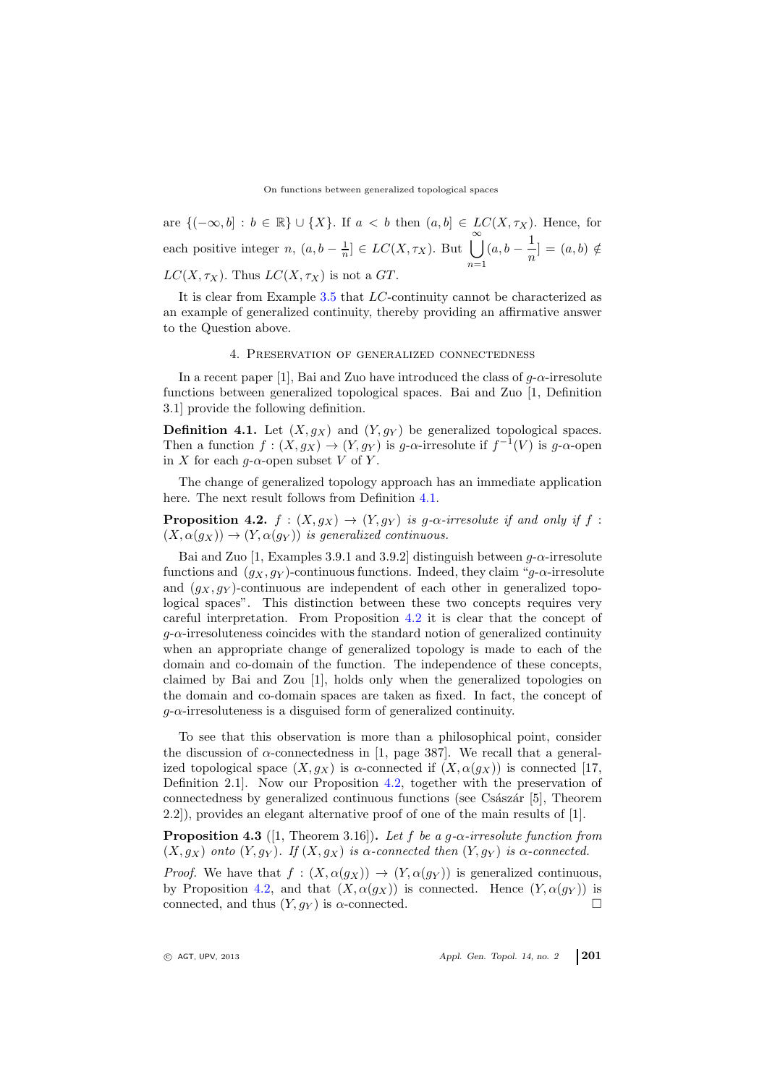On functions between generalized topological spaces

are  ${(-\infty, b] : b \in \mathbb{R}} \cup {X}$ . If  $a < b$  then  $(a, b] \in LC(X, \tau_X)$ . Hence, for each positive integer  $n, (a, b - \frac{1}{n}] \in LC(X, \tau_X)$ . But  $\bigcup^{\infty}$  $n=1$  $(a, b - \frac{1}{a})$  $\frac{1}{n}$ ] =  $(a, b) \notin$  $LC(X, \tau_X)$ . Thus  $LC(X, \tau_X)$  is not a GT.

It is clear from Example [3.5](#page-5-0) that LC-continuity cannot be characterized as an example of generalized continuity, thereby providing an affirmative answer to the Question above.

#### 4. Preservation of generalized connectedness

In a recent paper [1], Bai and Zuo have introduced the class of  $g$ - $\alpha$ -irresolute functions between generalized topological spaces. Bai and Zuo [1, Definition 3.1] provide the following definition.

<span id="page-6-0"></span>**Definition 4.1.** Let  $(X, g_X)$  and  $(Y, g_Y)$  be generalized topological spaces. Then a function  $f : (X, g_X) \to (Y, g_Y)$  is g- $\alpha$ -irresolute if  $f^{-1}(V)$  is g- $\alpha$ -open in X for each  $q$ - $\alpha$ -open subset V of Y.

The change of generalized topology approach has an immediate application here. The next result follows from Definition [4.1.](#page-6-0)

<span id="page-6-1"></span>**Proposition 4.2.**  $f : (X, g_X) \to (Y, g_Y)$  is g- $\alpha$ -irresolute if and only if f:  $(X, \alpha(q_X)) \rightarrow (Y, \alpha(q_Y))$  is generalized continuous.

Bai and Zuo [1, Examples 3.9.1 and 3.9.2] distinguish between  $g$ - $\alpha$ -irresolute functions and  $(g_X, g_Y)$ -continuous functions. Indeed, they claim "g- $\alpha$ -irresolute and  $(g_X, g_Y)$ -continuous are independent of each other in generalized topological spaces". This distinction between these two concepts requires very careful interpretation. From Proposition [4.2](#page-6-1) it is clear that the concept of  $q$ - $\alpha$ -irresoluteness coincides with the standard notion of generalized continuity when an appropriate change of generalized topology is made to each of the domain and co-domain of the function. The independence of these concepts, claimed by Bai and Zou [1], holds only when the generalized topologies on the domain and co-domain spaces are taken as fixed. In fact, the concept of  $g$ - $\alpha$ -irresoluteness is a disguised form of generalized continuity.

To see that this observation is more than a philosophical point, consider the discussion of  $\alpha$ -connectedness in [1, page 387]. We recall that a generalized topological space  $(X, g_X)$  is  $\alpha$ -connected if  $(X, \alpha(g_X))$  is connected [17, Definition 2.1]. Now our Proposition [4.2,](#page-6-1) together with the preservation of connectedness by generalized continuous functions (see Császár [5], Theorem 2.2]), provides an elegant alternative proof of one of the main results of [1].

<span id="page-6-2"></span>**Proposition 4.3** ([1, Theorem 3.16]). Let f be a g- $\alpha$ -irresolute function from  $(X, g_X)$  onto  $(Y, g_Y)$ . If  $(X, g_X)$  is  $\alpha$ -connected then  $(Y, g_Y)$  is  $\alpha$ -connected.

*Proof.* We have that  $f : (X, \alpha(g_X)) \to (Y, \alpha(g_Y))$  is generalized continuous, by Proposition [4.2,](#page-6-1) and that  $(X, \alpha(g_X))$  is connected. Hence  $(Y, \alpha(g_Y))$  is connected, and thus  $(Y, g_Y)$  is  $\alpha$ -connected.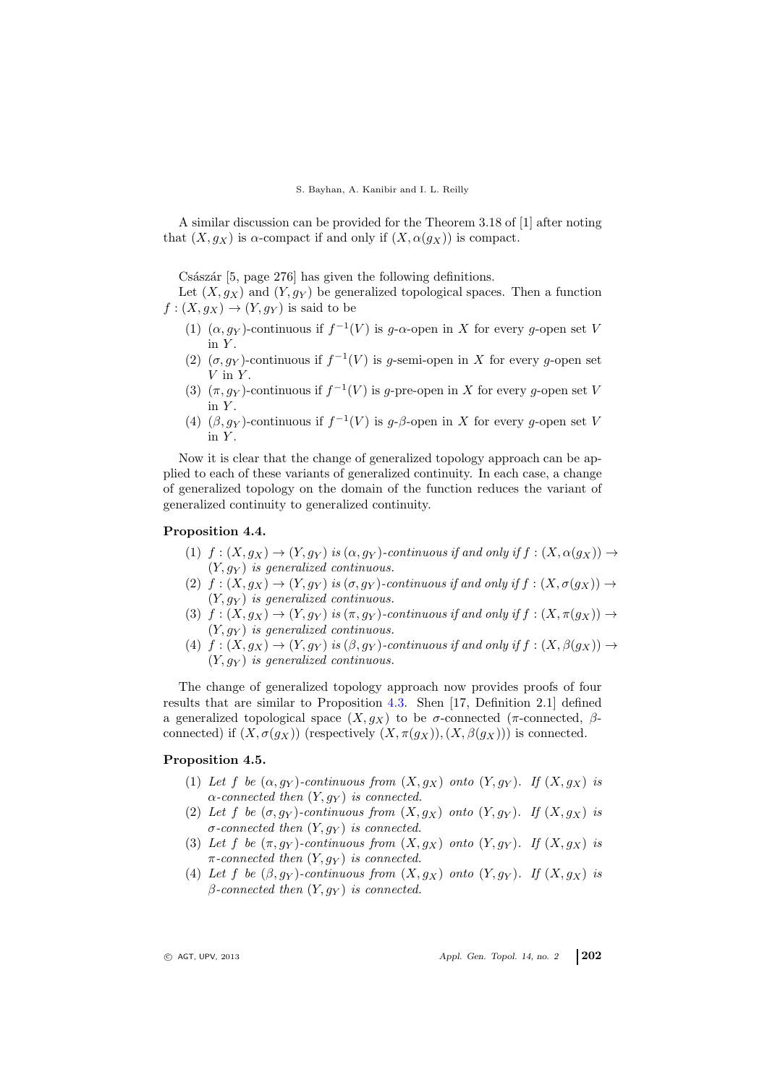#### S. Bayhan, A. Kanibir and I. L. Reilly

A similar discussion can be provided for the Theorem 3.18 of [1] after noting that  $(X, g_X)$  is  $\alpha$ -compact if and only if  $(X, \alpha(g_X))$  is compact.

Császár  $[5, \text{page 276}]$  has given the following definitions.

Let  $(X, g_X)$  and  $(Y, g_Y)$  be generalized topological spaces. Then a function  $f:(X, g_X) \to (Y, g_Y)$  is said to be

- (1)  $(\alpha, g_Y)$ -continuous if  $f^{-1}(V)$  is g- $\alpha$ -open in X for every g-open set V in  $Y$ .
- (2)  $(\sigma, g_Y)$ -continuous if  $f^{-1}(V)$  is g-semi-open in X for every g-open set  $V$  in  $Y$ .
- (3)  $(\pi, g_Y)$ -continuous if  $f^{-1}(V)$  is g-pre-open in X for every g-open set V in  $Y$ .
- (4)  $(\beta, g_Y)$ -continuous if  $f^{-1}(V)$  is g- $\beta$ -open in X for every g-open set V in  $Y$ .

Now it is clear that the change of generalized topology approach can be applied to each of these variants of generalized continuity. In each case, a change of generalized topology on the domain of the function reduces the variant of generalized continuity to generalized continuity.

### Proposition 4.4.

- (1)  $f: (X, g_X) \to (Y, g_Y)$  is  $(\alpha, g_Y)$ -continuous if and only if  $f: (X, \alpha(g_X)) \to$  $(Y, g_Y)$  is generalized continuous.
- (2)  $f:(X, g_X) \to (Y, g_Y)$  is  $(\sigma, g_Y)$ -continuous if and only if  $f:(X, \sigma(g_X)) \to$  $(Y, g_Y)$  is generalized continuous.
- (3)  $f:(X, g_X) \to (Y, g_Y)$  is  $(\pi, g_Y)$ -continuous if and only if  $f:(X, \pi(g_X)) \to$  $(Y, g_Y)$  is generalized continuous.
- (4)  $f: (X, g_X) \to (Y, g_Y)$  is  $(\beta, g_Y)$ -continuous if and only if  $f: (X, \beta(g_X)) \to$  $(Y, g_Y)$  is generalized continuous.

The change of generalized topology approach now provides proofs of four results that are similar to Proposition [4.3.](#page-6-2) Shen [17, Definition 2.1] defined a generalized topological space  $(X, g_X)$  to be σ-connected (π-connected, βconnected) if  $(X, \sigma(q_X))$  (respectively  $(X, \pi(q_X)), (X, \beta(q_X)))$  is connected.

## Proposition 4.5.

- (1) Let f be  $(\alpha, g_Y)$ -continuous from  $(X, g_X)$  onto  $(Y, g_Y)$ . If  $(X, g_X)$  is  $\alpha$ -connected then  $(Y, g_Y)$  is connected.
- (2) Let f be  $(\sigma, g_Y)$ -continuous from  $(X, g_X)$  onto  $(Y, g_Y)$ . If  $(X, g_X)$  is  $\sigma$ -connected then  $(Y, g_Y)$  is connected.
- (3) Let f be  $(\pi, g_Y)$ -continuous from  $(X, g_X)$  onto  $(Y, g_Y)$ . If  $(X, g_X)$  is  $\pi$ -connected then  $(Y, g_Y)$  is connected.
- (4) Let f be  $(\beta, g_Y)$ -continuous from  $(X, g_X)$  onto  $(Y, g_Y)$ . If  $(X, g_X)$  is  $\beta$ -connected then  $(Y, g_Y)$  is connected.